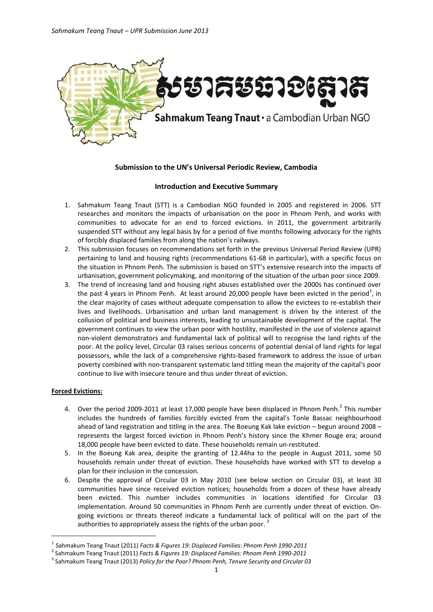

# **Submission to the UN's Universal Periodic Review, Cambodia**

# **Introduction and Executive Summary**

- 1. Sahmakum Teang Tnaut (STT) is a Cambodian NGO founded in 2005 and registered in 2006. STT researches and monitors the impacts of urbanisation on the poor in Phnom Penh, and works with communities to advocate for an end to forced evictions. In 2011, the government arbitrarily suspended STT without any legal basis by for a period of five months following advocacy for the rights of forcibly displaced families from along the nation's railways.
- 2. This submission focuses on recommendations set forth in the previous Universal Period Review (UPR) pertaining to land and housing rights (recommendations 61-68 in particular), with a specific focus on the situation in Phnom Penh. The submission is based on STT's extensive research into the impacts of urbanisation, government policymaking, and monitoring of the situation of the urban poor since 2009.
- 3. The trend of increasing land and housing right abuses established over the 2000s has continued over the past 4 years in Phnom Penh. At least around 20,000 people have been evicted in the period<sup>1</sup>, in the clear majority of cases without adequate compensation to allow the evictees to re-establish their lives and livelihoods. Urbanisation and urban land management is driven by the interest of the collusion of political and business interests, leading to unsustainable development of the capital. The government continues to view the urban poor with hostility, manifested in the use of violence against non-violent demonstrators and fundamental lack of political will to recognise the land rights of the poor. At the policy level, Circular 03 raises serious concerns of potential denial of land rights for legal possessors, while the lack of a comprehensive rights-based framework to address the issue of urban poverty combined with non-transparent systematic land titling mean the majority of the capital's poor continue to live with insecure tenure and thus under threat of eviction.

# **Forced Evictions:**

-

- 4. Over the period 2009-2011 at least 17,000 people have been displaced in Phnom Penh. $^{2}$  This number includes the hundreds of families forcibly evicted from the capital's Tonle Bassac neighbourhood ahead of land registration and titling in the area. The Boeung Kak lake eviction – begun around 2008 – represents the largest forced eviction in Phnom Penh's history since the Khmer Rouge era; around 18,000 people have been evicted to date. These households remain un-restituted.
- 5. In the Boeung Kak area, despite the granting of 12.44ha to the people in August 2011, some 50 households remain under threat of eviction. These households have worked with STT to develop a plan for their inclusion in the concession.
- 6. Despite the approval of Circular 03 in May 2010 (see below section on Circular 03), at least 30 communities have since received eviction notices; households from a dozen of these have already been evicted. This number includes communities in locations identified for Circular 03 implementation. Around 50 communities in Phnom Penh are currently under threat of eviction. Ongoing evictions or threats thereof indicate a fundamental lack of political will on the part of the authorities to appropriately assess the rights of the urban poor.  $^3$

<sup>1</sup> Sahmakum Teang Tnaut (2011) *Facts & Figures 19: Displaced Families: Phnom Penh 1990-2011*

<sup>2</sup> Sahmakum Teang Tnaut (2011) *Facts & Figures 19: Displaced Families: Phnom Penh 1990-2011*

<sup>3</sup> Sahmakum Teang Tnaut (2013) *Policy for the Poor? Phnom Penh, Tenure Security and Circular 03*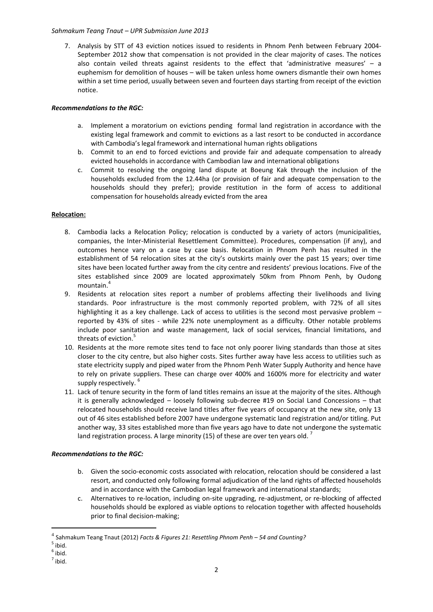## *Sahmakum Teang Tnaut – UPR Submission June 2013*

7. Analysis by STT of 43 eviction notices issued to residents in Phnom Penh between February 2004- September 2012 show that compensation is not provided in the clear majority of cases. The notices also contain veiled threats against residents to the effect that 'administrative measures'  $-$  a euphemism for demolition of houses – will be taken unless home owners dismantle their own homes within a set time period, usually between seven and fourteen days starting from receipt of the eviction notice.

# *Recommendations to the RGC:*

- a. Implement a moratorium on evictions pending formal land registration in accordance with the existing legal framework and commit to evictions as a last resort to be conducted in accordance with Cambodia's legal framework and international human rights obligations
- b. Commit to an end to forced evictions and provide fair and adequate compensation to already evicted households in accordance with Cambodian law and international obligations
- c. Commit to resolving the ongoing land dispute at Boeung Kak through the inclusion of the households excluded from the 12.44ha (or provision of fair and adequate compensation to the households should they prefer); provide restitution in the form of access to additional compensation for households already evicted from the area

## **Relocation:**

- 8. Cambodia lacks a Relocation Policy; relocation is conducted by a variety of actors (municipalities, companies, the Inter-Ministerial Resettlement Committee). Procedures, compensation (if any), and outcomes hence vary on a case by case basis. Relocation in Phnom Penh has resulted in the establishment of 54 relocation sites at the city's outskirts mainly over the past 15 years; over time sites have been located further away from the city centre and residents' previous locations. Five of the sites established since 2009 are located approximately 50km from Phnom Penh, by Oudong mountain.<sup>4</sup>
- 9. Residents at relocation sites report a number of problems affecting their livelihoods and living standards. Poor infrastructure is the most commonly reported problem, with 72% of all sites highlighting it as a key challenge. Lack of access to utilities is the second most pervasive problem – reported by 43% of sites - while 22% note unemployment as a difficulty. Other notable problems include poor sanitation and waste management, lack of social services, financial limitations, and threats of eviction.<sup>5</sup>
- 10. Residents at the more remote sites tend to face not only poorer living standards than those at sites closer to the city centre, but also higher costs. Sites further away have less access to utilities such as state electricity supply and piped water from the Phnom Penh Water Supply Authority and hence have to rely on private suppliers. These can charge over 400% and 1600% more for electricity and water supply respectively. 6
- 11. Lack of tenure security in the form of land titles remains an issue at the majority of the sites. Although it is generally acknowledged – loosely following sub-decree #19 on Social Land Concessions – that relocated households should receive land titles after five years of occupancy at the new site, only 13 out of 46 sites established before 2007 have undergone systematic land registration and/or titling. Put another way, 33 sites established more than five years ago have to date not undergone the systematic land registration process. A large minority (15) of these are over ten years old.  $^7$

# *Recommendations to the RGC:*

- b. Given the socio-economic costs associated with relocation, relocation should be considered a last resort, and conducted only following formal adjudication of the land rights of affected households and in accordance with the Cambodian legal framework and international standards;
- c. Alternatives to re-location, including on-site upgrading, re-adjustment, or re-blocking of affected households should be explored as viable options to relocation together with affected households prior to final decision-making;

-

2

<sup>4</sup> Sahmakum Teang Tnaut (2012) *Facts & Figures 21: Resettling Phnom Penh – 54 and Counting?*

 $<sup>5</sup>$  ibid.</sup>

 $<sup>6</sup>$  ibid.</sup>

 $<sup>7</sup>$  ibid.</sup>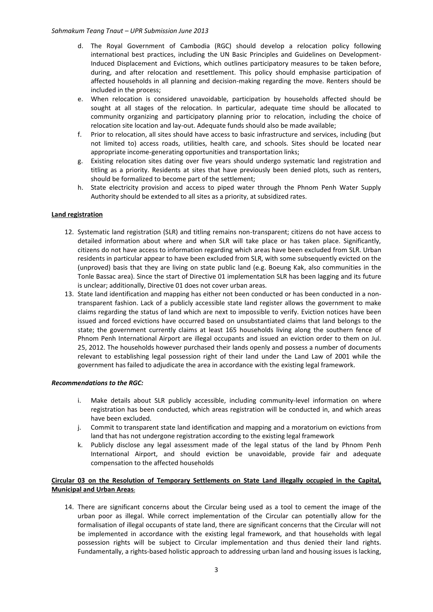### *Sahmakum Teang Tnaut – UPR Submission June 2013*

- d. The Royal Government of Cambodia (RGC) should develop a relocation policy following international best practices, including the UN Basic Principles and Guidelines on Development-Induced Displacement and Evictions, which outlines participatory measures to be taken before, during, and after relocation and resettlement. This policy should emphasise participation of affected households in all planning and decision-making regarding the move. Renters should be included in the process;
- e. When relocation is considered unavoidable, participation by households affected should be sought at all stages of the relocation. In particular, adequate time should be allocated to community organizing and participatory planning prior to relocation, including the choice of relocation site location and lay-out. Adequate funds should also be made available;
- f. Prior to relocation, all sites should have access to basic infrastructure and services, including (but not limited to) access roads, utilities, health care, and schools. Sites should be located near appropriate income-generating opportunities and transportation links;
- g. Existing relocation sites dating over five years should undergo systematic land registration and titling as a priority. Residents at sites that have previously been denied plots, such as renters, should be formalized to become part of the settlement;
- h. State electricity provision and access to piped water through the Phnom Penh Water Supply Authority should be extended to all sites as a priority, at subsidized rates.

### **Land registration**

- 12. Systematic land registration (SLR) and titling remains non-transparent; citizens do not have access to detailed information about where and when SLR will take place or has taken place. Significantly, citizens do not have access to information regarding which areas have been excluded from SLR. Urban residents in particular appear to have been excluded from SLR, with some subsequently evicted on the (unproved) basis that they are living on state public land (e.g. Boeung Kak, also communities in the Tonle Bassac area). Since the start of Directive 01 implementation SLR has been lagging and its future is unclear; additionally, Directive 01 does not cover urban areas.
- 13. State land identification and mapping has either not been conducted or has been conducted in a nontransparent fashion. Lack of a publicly accessible state land register allows the government to make claims regarding the status of land which are next to impossible to verify. Eviction notices have been issued and forced evictions have occurred based on unsubstantiated claims that land belongs to the state; the government currently claims at least 165 households living along the southern fence of Phnom Penh International Airport are illegal occupants and issued an eviction order to them on Jul. 25, 2012. The households however purchased their lands openly and possess a number of documents relevant to establishing legal possession right of their land under the Land Law of 2001 while the government has failed to adjudicate the area in accordance with the existing legal framework.

#### *Recommendations to the RGC:*

- i. Make details about SLR publicly accessible, including community-level information on where registration has been conducted, which areas registration will be conducted in, and which areas have been excluded.
- j. Commit to transparent state land identification and mapping and a moratorium on evictions from land that has not undergone registration according to the existing legal framework
- k. Publicly disclose any legal assessment made of the legal status of the land by Phnom Penh International Airport, and should eviction be unavoidable, provide fair and adequate compensation to the affected households

## **Circular 03 on the Resolution of Temporary Settlements on State Land illegally occupied in the Capital, Municipal and Urban Areas:**

14. There are significant concerns about the Circular being used as a tool to cement the image of the urban poor as illegal. While correct implementation of the Circular can potentially allow for the formalisation of illegal occupants of state land, there are significant concerns that the Circular will not be implemented in accordance with the existing legal framework, and that households with legal possession rights will be subject to Circular implementation and thus denied their land rights. Fundamentally, a rights-based holistic approach to addressing urban land and housing issues is lacking,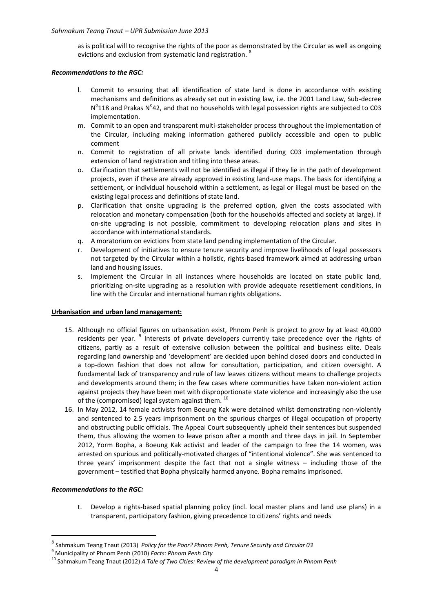as is political will to recognise the rights of the poor as demonstrated by the Circular as well as ongoing evictions and exclusion from systematic land registration. <sup>8</sup>

### *Recommendations to the RGC:*

- l. Commit to ensuring that all identification of state land is done in accordance with existing mechanisms and definitions as already set out in existing law, i.e. the 2001 Land Law, Sub-decree  $N^{o}$ 118 and Prakas  $N^{o}$ 42, and that no households with legal possession rights are subjected to C03 implementation.
- m. Commit to an open and transparent multi-stakeholder process throughout the implementation of the Circular, including making information gathered publicly accessible and open to public comment
- n. Commit to registration of all private lands identified during C03 implementation through extension of land registration and titling into these areas.
- o. Clarification that settlements will not be identified as illegal if they lie in the path of development projects, even if these are already approved in existing land-use maps. The basis for identifying a settlement, or individual household within a settlement, as legal or illegal must be based on the existing legal process and definitions of state land.
- p. Clarification that onsite upgrading is the preferred option, given the costs associated with relocation and monetary compensation (both for the households affected and society at large). If on-site upgrading is not possible, commitment to developing relocation plans and sites in accordance with international standards.
- q. A moratorium on evictions from state land pending implementation of the Circular.
- r. Development of initiatives to ensure tenure security and improve livelihoods of legal possessors not targeted by the Circular within a holistic, rights-based framework aimed at addressing urban land and housing issues.
- s. Implement the Circular in all instances where households are located on state public land, prioritizing on-site upgrading as a resolution with provide adequate resettlement conditions, in line with the Circular and international human rights obligations.

### **Urbanisation and urban land management:**

- 15. Although no official figures on urbanisation exist, Phnom Penh is project to grow by at least 40,000 residents per year. <sup>9</sup> Interests of private developers currently take precedence over the rights of citizens, partly as a result of extensive collusion between the political and business elite. Deals regarding land ownership and 'development' are decided upon behind closed doors and conducted in a top-down fashion that does not allow for consultation, participation, and citizen oversight. A fundamental lack of transparency and rule of law leaves citizens without means to challenge projects and developments around them; in the few cases where communities have taken non-violent action against projects they have been met with disproportionate state violence and increasingly also the use of the (compromised) legal system against them.<sup>10</sup>
- 16. In May 2012, 14 female activists from Boeung Kak were detained whilst demonstrating non-violently and sentenced to 2.5 years imprisonment on the spurious charges of illegal occupation of property and obstructing public officials. The Appeal Court subsequently upheld their sentences but suspended them, thus allowing the women to leave prison after a month and three days in jail. In September 2012, Yorm Bopha, a Boeung Kak activist and leader of the campaign to free the 14 women, was arrested on spurious and politically-motivated charges of "intentional violence". She was sentenced to three years' imprisonment despite the fact that not a single witness – including those of the government – testified that Bopha physically harmed anyone. Bopha remains imprisoned.

### *Recommendations to the RGC:*

-

t. Develop a rights-based spatial planning policy (incl. local master plans and land use plans) in a transparent, participatory fashion, giving precedence to citizens' rights and needs

<sup>8</sup> Sahmakum Teang Tnaut (2013) *Policy for the Poor? Phnom Penh, Tenure Security and Circular 03*

<sup>9</sup> Municipality of Phnom Penh (2010) *Facts: Phnom Penh City*

<sup>10</sup> Sahmakum Teang Tnaut (2012) *A Tale of Two Cities: Review of the development paradigm in Phnom Penh*